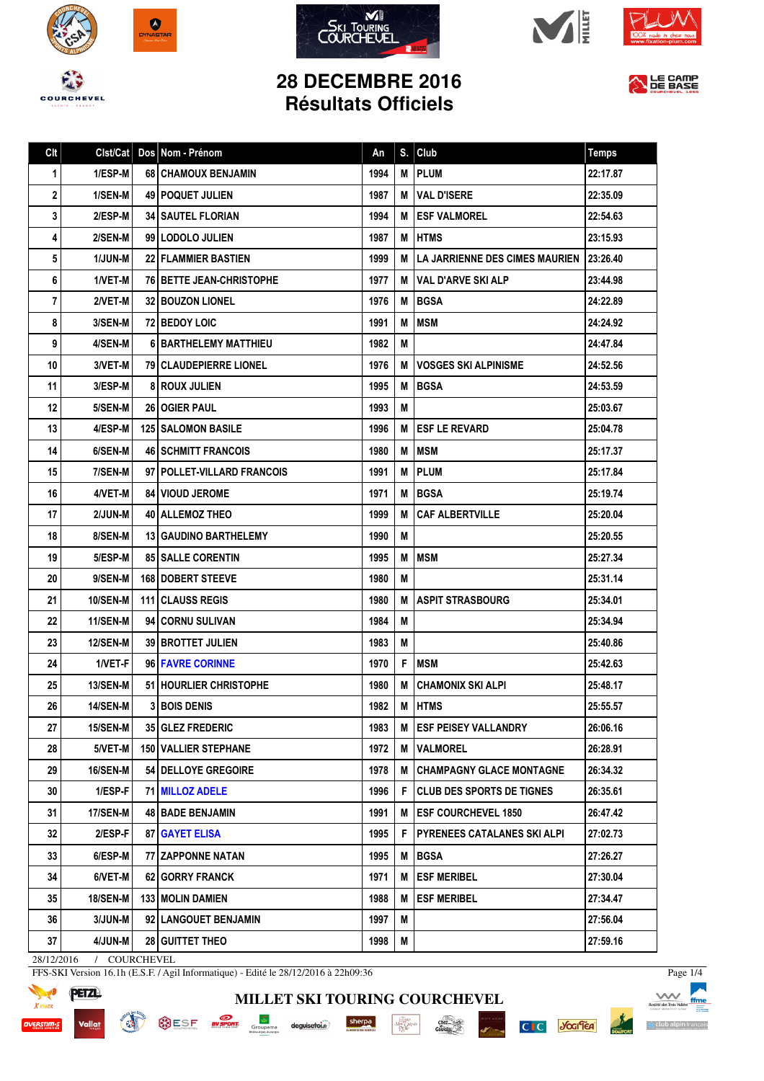









LE CAMP

## **28 DECEMBRE 2016 Résultats Officiels**

Clt Clst/Cat Dos Nom - Prénom An S. Club An S. Club Temps

| 1 <sup>1</sup> | 1/ESP-M                | <b>681 CHAMOUX BENJAMIN</b>       | 1994 |     | <b>M</b>   PLUM                    | 22:17.87 |
|----------------|------------------------|-----------------------------------|------|-----|------------------------------------|----------|
| 2              | 1/SEN-M                | <b>49   POQUET JULIEN</b>         | 1987 |     | <b>M IVAL D'ISERE</b>              | 22:35.09 |
| 3              | 2/ESP-M                | <b>34   SAUTEL FLORIAN</b>        | 1994 |     | <b>M IESF VALMOREL</b>             | 22:54.63 |
| 4              | 2/SEN-M                | 99 LODOLO JULIEN                  | 1987 |     | <b>M IHTMS</b>                     | 23:15.93 |
| 5              | 1/JUN-M                | <b>22 FLAMMIER BASTIEN</b>        | 1999 | M I | LA JARRIENNE DES CIMES MAURIEN     | 23:26.40 |
| 6              | 1/VET-M                | <b>76 I BETTE JEAN-CHRISTOPHE</b> | 1977 | M   | <b>VAL D'ARVE SKI ALP</b>          | 23:44.98 |
| $\overline{7}$ | 2/VET-M                | <b>32 BOUZON LIONEL</b>           | 1976 | М   | <b>IBGSA</b>                       | 24:22.89 |
| 8              | 3/SEN-M                | <b>72 BEDOY LOIC</b>              | 1991 | м   | <b>MSM</b>                         | 24:24.92 |
| 9              | 4/SEN-M                | <b>6 BARTHELEMY MATTHIEU</b>      | 1982 | M   |                                    | 24:47.84 |
| 10             | 3/VET-M                | <b>79   CLAUDEPIERRE LIONEL</b>   | 1976 |     | <b>M   VOSGES SKI ALPINISME</b>    | 24:52.56 |
| 11             | 3/ESP-M                | <b>8 ROUX JULIEN</b>              | 1995 | M   | <b>BGSA</b>                        | 24:53.59 |
| 12             | 5/SEN-M                | <b>26   OGIER PAUL</b>            | 1993 | M   |                                    | 25:03.67 |
| 13             | 4/ESP-M                | <b>125   SALOMON BASILE</b>       | 1996 | M   | <b>IESF LE REVARD</b>              | 25:04.78 |
| 14             | 6/SEN-M                | <b>46 SCHMITT FRANCOIS</b>        | 1980 | M   | <b>MSM</b>                         | 25:17.37 |
| 15             | 7/SEN-M                | 97 POLLET-VILLARD FRANCOIS        | 1991 | M   | <b>PLUM</b>                        | 25:17.84 |
| 16             | 4/VET-M                | <b>84 I VIOUD JEROME</b>          | 1971 | М   | <b>BGSA</b>                        | 25:19.74 |
| 17             | 2/JUN-M                | 40 ALLEMOZ THEO                   | 1999 | м   | <b>CAF ALBERTVILLE</b>             | 25:20.04 |
| 18             | 8/SEN-M                | <b>13 GAUDINO BARTHELEMY</b>      | 1990 | M   |                                    | 25:20.55 |
| 19             | 5/ESP-M                | <b>85 SALLE CORENTIN</b>          | 1995 | M   | <b>MSM</b>                         | 25:27.34 |
| 20             | 9/SEN-M                | <b>168   DOBERT STEEVE</b>        | 1980 | M   |                                    | 25:31.14 |
| 21             | <b>10/SEN-M</b>        | <b>111 I CLAUSS REGIS</b>         | 1980 |     | <b>M   ASPIT STRASBOURG</b>        | 25:34.01 |
| 22             | 11/SEN-M               | 94 CORNU SULIVAN                  | 1984 | M   |                                    | 25:34.94 |
| 23             | <b>12/SEN-M</b>        | <b>39 I BROTTET JULIEN</b>        | 1983 | M   |                                    | 25:40.86 |
| 24             | 1/VET-F                | 96 FAVRE CORINNE                  | 1970 | F   | <b>MSM</b>                         | 25:42.63 |
| 25             | <b>13/SEN-M</b>        | 51   HOURLIER CHRISTOPHE          | 1980 |     | <b>M</b> ICHAMONIX SKI ALPI        | 25:48.17 |
| 26             | 14/SEN-M               | <b>3 BOIS DENIS</b>               | 1982 |     | M HTMS                             | 25:55.57 |
| 27             | <b>15/SEN-M</b>        | 35 GLEZ FREDERIC                  | 1983 |     | <b>M LESF PEISEY VALLANDRY</b>     | 26:06.16 |
| 28             | 5/VET-M                | 150 VALLIER STEPHANE              | 1972 |     | M VALMOREL                         | 26:28.91 |
| 29             | <b>16/SEN-M</b>        | 54   DELLOYE GREGOIRE             | 1978 |     | <b>M CHAMPAGNY GLACE MONTAGNE</b>  | 26:34.32 |
| 30             | 1/ESP-F                | 71   MILLOZ ADELE                 | 1996 |     | <b>F CLUB DES SPORTS DE TIGNES</b> | 26:35.61 |
| 31             | 17/SEN-M               | <b>48 BADE BENJAMIN</b>           | 1991 |     | M <b>ESF COURCHEVEL 1850</b>       | 26:47.42 |
| 32             | 2/ESP-F                | <b>87 GAYET ELISA</b>             | 1995 | F   | I PYRENEES CATALANES SKI ALPI      | 27:02.73 |
| 33             | 6/ESP-M                | 77 ZAPPONNE NATAN                 | 1995 | м   | <b>BGSA</b>                        | 27:26.27 |
| 34             | 6/VET-M                | 62 GORRY FRANCK                   | 1971 |     | <b>M LESF MERIBEL</b>              | 27:30.04 |
| 35             | <b>18/SEN-M</b>        | <b>133 MOLIN DAMIEN</b>           | 1988 | м   | <b>ESF MERIBEL</b>                 | 27:34.47 |
| 36             | 3/JUN-M                | 92 LANGOUET BENJAMIN              | 1997 | Μ   |                                    | 27:56.04 |
| 37             | 4/JUN-M                | 28 GUITTET THEO                   | 1998 | M   |                                    | 27:59.16 |
|                | 120016<br>COTIDCUTEUPI |                                   |      |     |                                    |          |

**MILLET SKI TOURING COURCHEVEL**

 $\cdot \underset{\substack{\text{Max} \\ \text{Max} \\ \text{Data}}} \frac{\text{Is}[\text{Max}]}{\text{Max}(\text{max})}$ 

sherpa

 $\begin{minipage}{.4\linewidth} \textbf{deguise} \begin{tabular}{l} \textbf{to} \end{tabular} \end{minipage}$ 

 $\frac{\text{chez}}{\text{Cauloly}}$ 

28/12/2016 / COURCHEVEL

**MARKAIN REGISTER** 

FFS-SKI Version 16.1h (E.S.F. / Agil Informatique) - Edité le 28/12/2016 à 22h09:36

**OUTSE SE SERVICE COMPARENT** 







Page 1/4

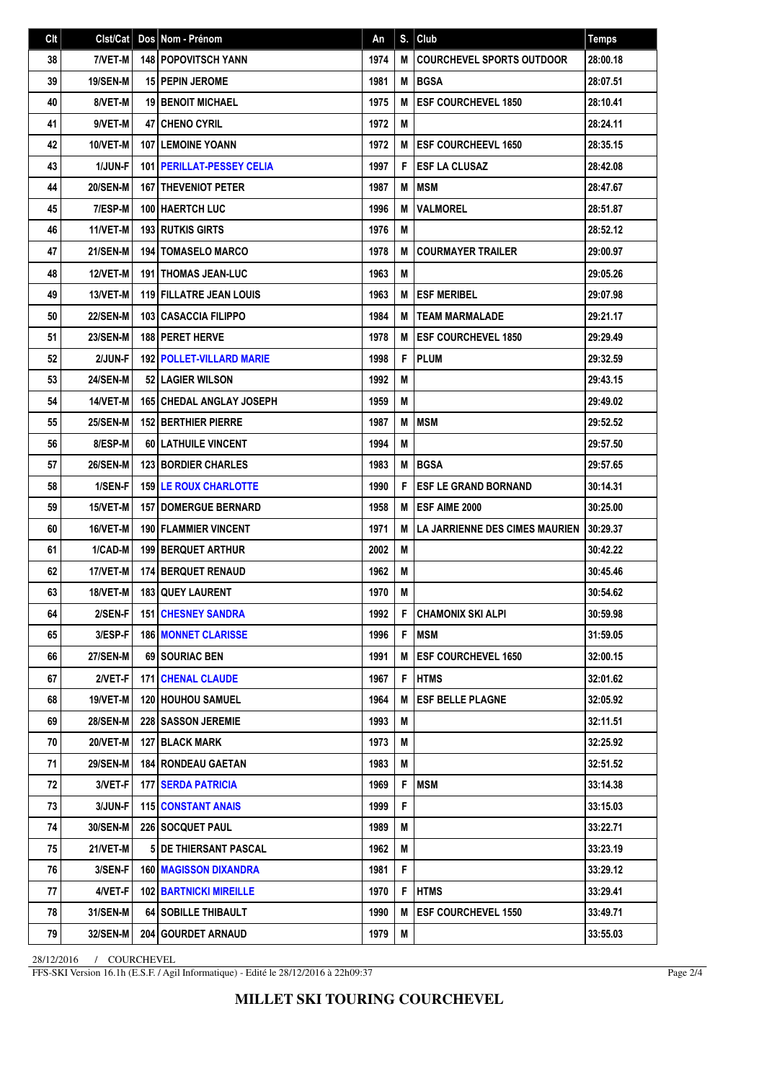| Clt | Clst/Cat        | Dos Nom - Prénom                   | An   | S. | Club                                  | <b>Temps</b> |
|-----|-----------------|------------------------------------|------|----|---------------------------------------|--------------|
| 38  | 7/VET-M         | <b>148 POPOVITSCH YANN</b>         | 1974 | M  | <b>COURCHEVEL SPORTS OUTDOOR</b>      | 28:00.18     |
| 39  | 19/SEN-M        | <b>15 PEPIN JEROME</b>             | 1981 | M  | BGSA                                  | 28:07.51     |
| 40  | 8/VET-M         | <b>19 BENOIT MICHAEL</b>           | 1975 | M  | <b>IESF COURCHEVEL 1850</b>           | 28:10.41     |
| 41  | 9/VET-M         | <b>47 CHENO CYRIL</b>              | 1972 | M  |                                       | 28:24.11     |
| 42  | 10/VET-M        | <b>107 LEMOINE YOANN</b>           | 1972 | M  | <b>ESF COURCHEEVL 1650</b>            | 28:35.15     |
| 43  | <b>1/JUN-F</b>  | <b>101   PERILLAT-PESSEY CELIA</b> | 1997 | F  | <b>ESF LA CLUSAZ</b>                  | 28:42.08     |
| 44  | 20/SEN-M        | <b>167 I THEVENIOT PETER</b>       | 1987 | M  | <b>MSM</b>                            | 28:47.67     |
| 45  | 7/ESP-M         | <b>100 HAERTCH LUC</b>             | 1996 | M  | <b>VALMOREL</b>                       | 28:51.87     |
| 46  | 11/VET-M        | <b>193 RUTKIS GIRTS</b>            | 1976 | M  |                                       | 28:52.12     |
| 47  | <b>21/SEN-M</b> | <b>194   TOMASELO MARCO</b>        | 1978 | M  | <b>COURMAYER TRAILER</b>              | 29:00.97     |
| 48  | 12/VET-M        | <b>191   THOMAS JEAN-LUC</b>       | 1963 | M  |                                       | 29:05.26     |
| 49  | 13/VET-M        | <b>119 FILLATRE JEAN LOUIS</b>     | 1963 | M  | <b>ESF MERIBEL</b>                    | 29:07.98     |
| 50  | <b>22/SEN-M</b> | 103 CASACCIA FILIPPO               | 1984 | М  | I TEAM MARMALADE                      | 29:21.17     |
| 51  | <b>23/SEN-M</b> | 188 PERET HERVE                    | 1978 | M  | <b>ESF COURCHEVEL 1850</b>            | 29:29.49     |
| 52  | 2/JUN-F         | <b>192 POLLET-VILLARD MARIE</b>    | 1998 | F  | <b>PLUM</b>                           | 29:32.59     |
| 53  | <b>24/SEN-M</b> | <b>52 LAGIER WILSON</b>            | 1992 | M  |                                       | 29:43.15     |
| 54  | 14/VET-M        | <b>165 CHEDAL ANGLAY JOSEPH</b>    | 1959 | M  |                                       | 29:49.02     |
| 55  | 25/SEN-M        | <b>152 BERTHIER PIERRE</b>         | 1987 | M  | <b>MSM</b>                            | 29:52.52     |
| 56  | 8/ESP-M         | <b>60 LATHUILE VINCENT</b>         | 1994 | M  |                                       | 29:57.50     |
| 57  | <b>26/SEN-M</b> | <b>123 BORDIER CHARLES</b>         | 1983 | M  | <b>BGSA</b>                           | 29:57.65     |
| 58  | 1/SEN-F         | <b>159 LE ROUX CHARLOTTE</b>       | 1990 | F  | <b>ESF LE GRAND BORNAND</b>           | 30:14.31     |
| 59  | 15/VET-M        | <b>157 I DOMERGUE BERNARD</b>      | 1958 | M  | <b>ESF AIME 2000</b>                  | 30:25.00     |
| 60  | 16/VET-M        | <b>190 FLAMMIER VINCENT</b>        | 1971 | M  | <b>LA JARRIENNE DES CIMES MAURIEN</b> | 30:29.37     |
| 61  | 1/CAD-M         | <b>199 BERQUET ARTHUR</b>          | 2002 | M  |                                       | 30:42.22     |
| 62  | 17/VET-M        | <b>174 BERQUET RENAUD</b>          | 1962 | M  |                                       | 30:45.46     |
| 63  | 18/VET-M        | 183 QUEY LAURENT                   | 1970 | M  |                                       | 30:54.62     |
| 64  | $2/SEN-F$       | <b>151 CHESNEY SANDRA</b>          | 1992 | F. | <b>CHAMONIX SKI ALPI</b>              | 30:59.98     |
| 65  | 3/ESP-F         | <b>186 MONNET CLARISSE</b>         | 1996 | F  | <b>MSM</b>                            | 31:59.05     |
| 66  | <b>27/SEN-M</b> | 69 SOURIAC BEN                     | 1991 | M  | <b>ESF COURCHEVEL 1650</b>            | 32:00.15     |
| 67  | 2/VET-F         | <b>171 CHENAL CLAUDE</b>           | 1967 | F  | <b>IHTMS</b>                          | 32:01.62     |
| 68  | 19/VET-M        | 120 HOUHOU SAMUEL                  | 1964 | M  | <b>ESF BELLE PLAGNE</b>               | 32:05.92     |
| 69  | <b>28/SEN-M</b> | <b>228 SASSON JEREMIE</b>          | 1993 | M  |                                       | 32:11.51     |
| 70  | <b>20/VET-M</b> | <b>127 BLACK MARK</b>              | 1973 | M  |                                       | 32:25.92     |
| 71  | <b>29/SEN-M</b> | <b>184 RONDEAU GAETAN</b>          | 1983 | М  |                                       | 32:51.52     |
| 72  | 3/VET-F         | <b>177 SERDA PATRICIA</b>          | 1969 | F  | <b>MSM</b>                            | 33:14.38     |
| 73  | 3/JUN-F         | <b>115 CONSTANT ANAIS</b>          | 1999 | F  |                                       | 33:15.03     |
| 74  | 30/SEN-M        | 226 SOCQUET PAUL                   | 1989 | M  |                                       | 33:22.71     |
| 75  | 21/VET-M        | <b>5 DE THIERSANT PASCAL</b>       | 1962 | M  |                                       | 33:23.19     |
| 76  | 3/SEN-F         | <b>160   MAGISSON DIXANDRA</b>     | 1981 | F  |                                       | 33:29.12     |
| 77  | 4/VET-F         | <b>102 BARTNICKI MIREILLE</b>      | 1970 | F  | <b>HTMS</b>                           | 33:29.41     |
| 78  | 31/SEN-M        | 64 SOBILLE THIBAULT                | 1990 | M  | <b>ESF COURCHEVEL 1550</b>            | 33:49.71     |
| 79  | 32/SEN-M        | 204 GOURDET ARNAUD                 | 1979 | M  |                                       | 33:55.03     |

28/12/2016 / COURCHEVEL

FFS-SKI Version 16.1h (E.S.F. / Agil Informatique) - Edité le 28/12/2016 à 22h09:37

Page 2/4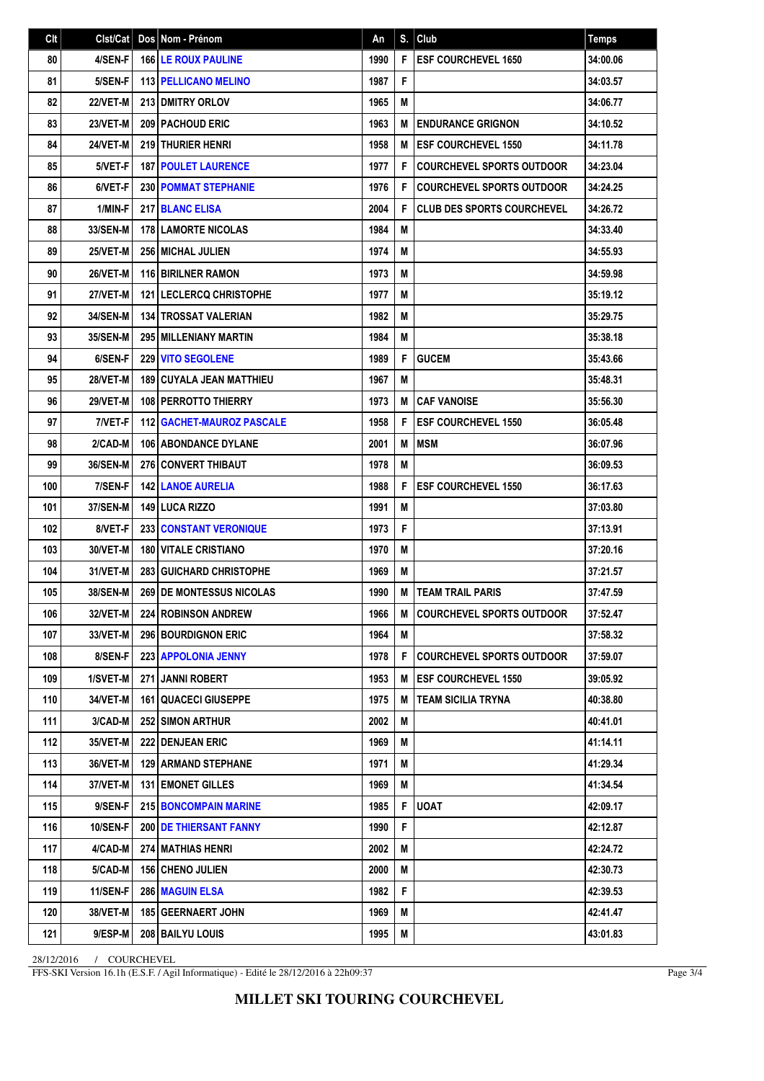| Clt | Clst/Cat        | Dos Nom - Prénom                  | An   | S. | Club                              | <b>Temps</b> |
|-----|-----------------|-----------------------------------|------|----|-----------------------------------|--------------|
| 80  | 4/SEN-F         | <b>166 LE ROUX PAULINE</b>        | 1990 | F  | <b>ESF COURCHEVEL 1650</b>        | 34:00.06     |
| 81  | 5/SEN-F         | <b>113 PELLICANO MELINO</b>       | 1987 | F  |                                   | 34:03.57     |
| 82  | 22/VET-M        | 213 DMITRY ORLOV                  | 1965 | M  |                                   | 34:06.77     |
| 83  | 23/VET-M        | <b>209   PACHOUD ERIC</b>         | 1963 | M  | <b>ENDURANCE GRIGNON</b>          | 34:10.52     |
| 84  | 24/VET-M        | 219 THURIER HENRI                 | 1958 | M  | <b>ESF COURCHEVEL 1550</b>        | 34:11.78     |
| 85  | 5/VET-F         | <b>187 POULET LAURENCE</b>        | 1977 | F  | <b>COURCHEVEL SPORTS OUTDOOR</b>  | 34:23.04     |
| 86  | 6/VET-F         | <b>230 POMMAT STEPHANIE</b>       | 1976 | F  | <b>COURCHEVEL SPORTS OUTDOOR</b>  | 34:24.25     |
| 87  | 1/MIN-F         | 217 BLANC ELISA                   | 2004 | F  | <b>CLUB DES SPORTS COURCHEVEL</b> | 34:26.72     |
| 88  | 33/SEN-M        | <b>178 LAMORTE NICOLAS</b>        | 1984 | M  |                                   | 34:33.40     |
| 89  | 25/VET-M        | <b>256 MICHAL JULIEN</b>          | 1974 | M  |                                   | 34:55.93     |
| 90  | 26/VET-M        | <b>116 BIRILNER RAMON</b>         | 1973 | M  |                                   | 34:59.98     |
| 91  | 27/VET-M        | <b>121 LECLERCQ CHRISTOPHE</b>    | 1977 | M  |                                   | 35:19.12     |
| 92  | 34/SEN-M        | <b>134 I TROSSAT VALERIAN</b>     | 1982 | M  |                                   | 35:29.75     |
| 93  | 35/SEN-M        | 295 MILLENIANY MARTIN             | 1984 | M  |                                   | 35:38.18     |
| 94  | 6/SEN-F         | <b>229 VITO SEGOLENE</b>          | 1989 | F  | <b>GUCEM</b>                      | 35:43.66     |
| 95  | <b>28/VET-M</b> | <b>189   CUYALA JEAN MATTHIEU</b> | 1967 | M  |                                   | 35:48.31     |
| 96  | <b>29/VET-M</b> | 108 PERROTTO THIERRY              | 1973 | M  | <b>CAF VANOISE</b>                | 35:56.30     |
| 97  | 7/VET-F         | 112   GACHET-MAUROZ PASCALE       | 1958 | F  | <b>ESF COURCHEVEL 1550</b>        | 36:05.48     |
| 98  | 2/CAD-M         | 106 ABONDANCE DYLANE              | 2001 | M  | <b>MSM</b>                        | 36:07.96     |
| 99  | 36/SEN-M        | <b>276 CONVERT THIBAUT</b>        | 1978 | M  |                                   | 36:09.53     |
| 100 | 7/SEN-F         | <b>142 LANOE AURELIA</b>          | 1988 | F  | <b>ESF COURCHEVEL 1550</b>        | 36:17.63     |
| 101 | 37/SEN-M        | <b>149 LUCA RIZZO</b>             | 1991 | M  |                                   | 37:03.80     |
| 102 | 8/VET-F         | <b>233 CONSTANT VERONIQUE</b>     | 1973 | F  |                                   | 37:13.91     |
| 103 | 30/VET-M        | <b>180 VITALE CRISTIANO</b>       | 1970 | M  |                                   | 37:20.16     |
| 104 | 31/VET-M        | <b>283 GUICHARD CHRISTOPHE</b>    | 1969 | M  |                                   | 37:21.57     |
| 105 | <b>38/SEN-M</b> | 269 DE MONTESSUS NICOLAS          | 1990 | M  | <b>TEAM TRAIL PARIS</b>           | 37:47.59     |
| 106 | 32/VET-M        | <b>224 ROBINSON ANDREW</b>        | 1966 |    | M COURCHEVEL SPORTS OUTDOOR       | 37:52.47     |
| 107 | 33/VET-M        | <b>296 BOURDIGNON ERIC</b>        | 1964 | M  |                                   | 37:58.32     |
| 108 | 8/SEN-F         | 223 APPOLONIA JENNY               | 1978 | F  | <b>COURCHEVEL SPORTS OUTDOOR</b>  | 37:59.07     |
| 109 | 1/SVET-M        | <b>271 JANNI ROBERT</b>           | 1953 | M  | <b>ESF COURCHEVEL 1550</b>        | 39:05.92     |
| 110 | 34/VET-M        | 161 QUACECI GIUSEPPE              | 1975 | M  | <b>TEAM SICILIA TRYNA</b>         | 40:38.80     |
| 111 | 3/CAD-M         | <b>252 SIMON ARTHUR</b>           | 2002 | Μ  |                                   | 40:41.01     |
| 112 | 35/VET-M        | <b>222 DENJEAN ERIC</b>           | 1969 | M  |                                   | 41:14.11     |
| 113 | 36/VET-M        | <b>129   ARMAND STEPHANE</b>      | 1971 | M  |                                   | 41:29.34     |
| 114 | 37/VET-M        | <b>131 EMONET GILLES</b>          | 1969 | M  |                                   | 41:34.54     |
| 115 | 9/SEN-F         | <b>215 BONCOMPAIN MARINE</b>      | 1985 | F  | <b>UOAT</b>                       | 42:09.17     |
| 116 | 10/SEN-F        | <b>200   DE THIERSANT FANNY</b>   | 1990 | F  |                                   | 42:12.87     |
| 117 | 4/CAD-M         | 274 MATHIAS HENRI                 | 2002 | M  |                                   | 42:24.72     |
| 118 | 5/CAD-M         | 156 CHENO JULIEN                  | 2000 | M  |                                   | 42:30.73     |
| 119 | 11/SEN-F        | 286 MAGUIN ELSA                   | 1982 | F  |                                   | 42:39.53     |
| 120 | 38/VET-M        | <b>185   GEERNAERT JOHN</b>       | 1969 | M  |                                   | 42:41.47     |
| 121 | 9/ESP-M         | 208 BAILYU LOUIS                  | 1995 | M  |                                   | 43:01.83     |

28/12/2016 / COURCHEVEL

FFS-SKI Version 16.1h (E.S.F. / Agil Informatique) - Edité le 28/12/2016 à 22h09:37

Page 3/4